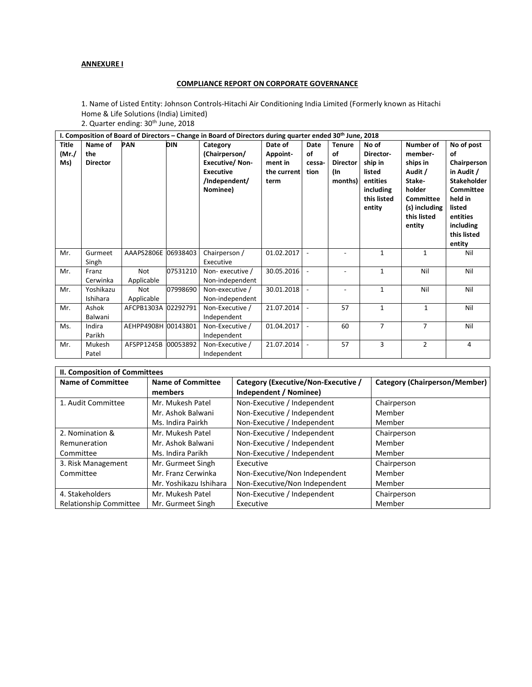## **ANNEXURE I**

## **COMPLIANCE REPORT ON CORPORATE GOVERNANCE**

1. Name of Listed Entity: Johnson Controls-Hitachi Air Conditioning India Limited (Formerly known as Hitachi Home & Life Solutions (India) Limited)

|  |  | 2. Quarter ending: 30 <sup>th</sup> June, 2018 |
|--|--|------------------------------------------------|
|--|--|------------------------------------------------|

| I. Composition of Board of Directors – Change in Board of Directors during quarter ended $30th$ June, 2018 |                                   |                          |            |                                                                                                     |                                                       |                              |                                                          |                                                                                           |                                                                                                                        |                                                                                                                                                         |
|------------------------------------------------------------------------------------------------------------|-----------------------------------|--------------------------|------------|-----------------------------------------------------------------------------------------------------|-------------------------------------------------------|------------------------------|----------------------------------------------------------|-------------------------------------------------------------------------------------------|------------------------------------------------------------------------------------------------------------------------|---------------------------------------------------------------------------------------------------------------------------------------------------------|
| Title<br>(Mr./<br>Ms)                                                                                      | Name of<br>the<br><b>Director</b> | <b>PAN</b>               | <b>DIN</b> | Category<br>(Chairperson/<br><b>Executive/Non-</b><br><b>Executive</b><br>/Independent/<br>Nominee) | Date of<br>Appoint-<br>ment in<br>the current<br>term | Date<br>οf<br>cessa-<br>tion | <b>Tenure</b><br>οf<br><b>Director</b><br>(In<br>months) | No of<br>Director-<br>ship in<br>listed<br>entities<br>including<br>this listed<br>entity | Number of<br>member-<br>ships in<br>Audit /<br>Stake-<br>holder<br>Committee<br>(s) including<br>this listed<br>entity | No of post<br>οf<br>Chairperson<br>in Audit /<br><b>Stakeholder</b><br>Committee<br>held in<br>listed<br>entities<br>including<br>this listed<br>entity |
| Mr.                                                                                                        | Gurmeet<br>Singh                  | AAAPS2806E 06938403      |            | Chairperson /<br>Executive                                                                          | 01.02.2017                                            |                              |                                                          | 1                                                                                         | $\mathbf{1}$                                                                                                           | Nil                                                                                                                                                     |
| Mr.                                                                                                        | Franz<br>Cerwinka                 | <b>Not</b><br>Applicable | 07531210   | Non-executive /<br>Non-independent                                                                  | 30.05.2016                                            |                              |                                                          | 1                                                                                         | Nil                                                                                                                    | Nil                                                                                                                                                     |
| Mr.                                                                                                        | Yoshikazu<br>Ishihara             | Not<br>Applicable        | 07998690   | Non-executive /<br>Non-independent                                                                  | 30.01.2018                                            |                              |                                                          | 1                                                                                         | Nil                                                                                                                    | Nil                                                                                                                                                     |
| Mr.                                                                                                        | Ashok<br>Balwani                  | AFCPB1303A 02292791      |            | Non-Executive /<br>Independent                                                                      | 21.07.2014                                            |                              | 57                                                       | 1                                                                                         | $\mathbf{1}$                                                                                                           | Nil                                                                                                                                                     |
| Ms.                                                                                                        | Indira<br>Parikh                  | AEHPP4908H 00143801      |            | Non-Executive /<br>Independent                                                                      | 01.04.2017                                            |                              | 60                                                       | $\overline{7}$                                                                            | $\overline{7}$                                                                                                         | Nil                                                                                                                                                     |
| Mr.                                                                                                        | Mukesh<br>Patel                   | AFSPP1245B 00053892      |            | Non-Executive /<br>Independent                                                                      | 21.07.2014                                            | $\overline{\phantom{a}}$     | 57                                                       | 3                                                                                         | $\overline{2}$                                                                                                         | 4                                                                                                                                                       |

| II. Composition of Committees                        |                        |                                     |                                      |  |  |
|------------------------------------------------------|------------------------|-------------------------------------|--------------------------------------|--|--|
| <b>Name of Committee</b><br><b>Name of Committee</b> |                        | Category (Executive/Non-Executive / | <b>Category (Chairperson/Member)</b> |  |  |
|                                                      | members                | Independent / Nominee)              |                                      |  |  |
| 1. Audit Committee                                   | Mr. Mukesh Patel       | Non-Executive / Independent         | Chairperson                          |  |  |
|                                                      | Mr. Ashok Balwani      | Non-Executive / Independent         | Member                               |  |  |
|                                                      | Ms. Indira Pairkh      | Non-Executive / Independent         | Member                               |  |  |
| 2. Nomination &                                      | Mr. Mukesh Patel       | Non-Executive / Independent         | Chairperson                          |  |  |
| Remuneration                                         | Mr. Ashok Balwani      | Non-Executive / Independent         | Member                               |  |  |
| Committee                                            | Ms. Indira Parikh      | Non-Executive / Independent         | Member                               |  |  |
| 3. Risk Management                                   | Mr. Gurmeet Singh      | Executive                           | Chairperson                          |  |  |
| Committee                                            | Mr. Franz Cerwinka     | Non-Executive/Non Independent       | Member                               |  |  |
|                                                      | Mr. Yoshikazu Ishihara | Non-Executive/Non Independent       | Member                               |  |  |
| 4. Stakeholders                                      | Mr. Mukesh Patel       | Non-Executive / Independent         | Chairperson                          |  |  |
| <b>Relationship Committee</b>                        | Mr. Gurmeet Singh      | Executive                           | Member                               |  |  |